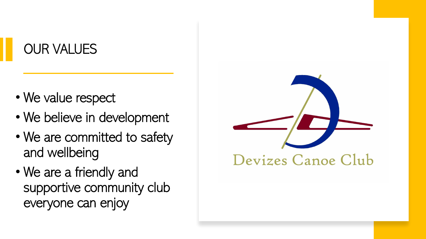## OUR VALUES

- We value respect
- We believe in development
- We are committed to safety and wellbeing
- We are a friendly and supportive community club everyone can enjoy

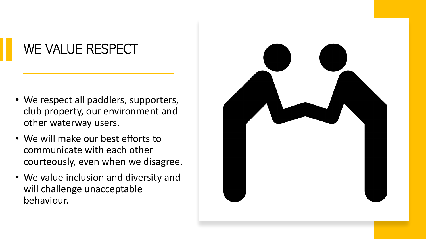# WE VALUE RESPECT

- We respect all paddlers, supporters, club property, our environment and other waterway users.
- We will make our best efforts to communicate with each other courteously, even when we disagree.
- We value inclusion and diversity and will challenge unacceptable behaviour.

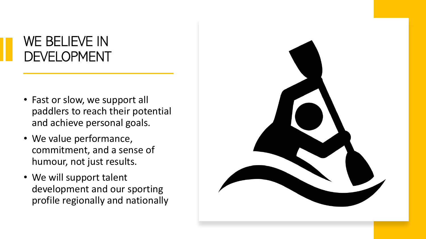### WE BELIEVE IN DEVELOPMENT

- Fast or slow, we support all paddlers to reach their potential and achieve personal goals.
- We value performance, commitment, and a sense of humour, not just results.
- We will support talent development and our sporting profile regionally and nationally

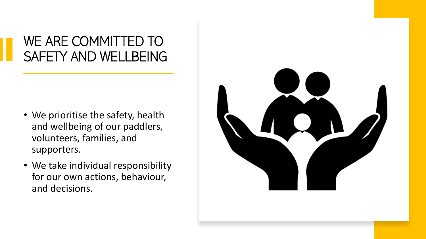### WE ARE COMMITTED TO SAFETY AND WELLBEING

- We prioritise the safety, health and wellbeing of our paddlers, volunteers, families, and supporters.
- We take individual responsibility for our own actions, behaviour, and decisions.